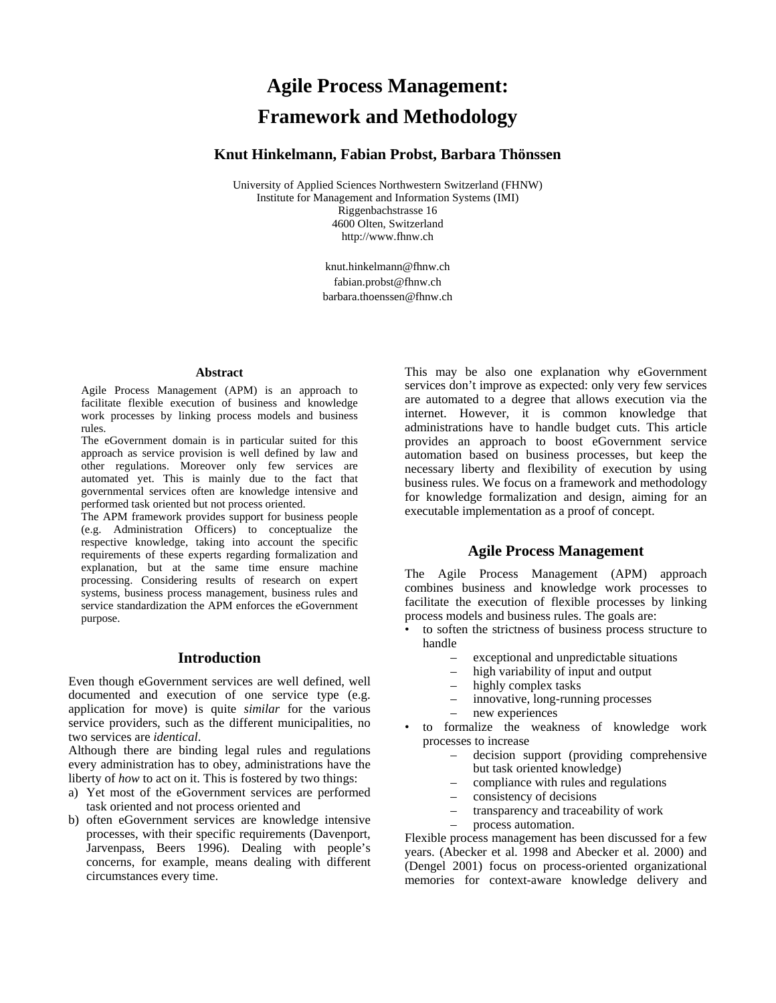# **Agile Process Management: Framework and Methodology**

# **Knut Hinkelmann, Fabian Probst, Barbara Thönssen**

University of Applied Sciences Northwestern Switzerland (FHNW) Institute for Management and Information Systems (IMI) Riggenbachstrasse 16 4600 Olten, Switzerland http://www.fhnw.ch

> knut.hinkelmann@fhnw.ch fabian.probst@fhnw.ch barbara.thoenssen@fhnw.ch

#### **Abstract**

Agile Process Management (APM) is an approach to facilitate flexible execution of business and knowledge work processes by linking process models and business rules.

The eGovernment domain is in particular suited for this approach as service provision is well defined by law and other regulations. Moreover only few services are automated yet. This is mainly due to the fact that governmental services often are knowledge intensive and performed task oriented but not process oriented.

The APM framework provides support for business people (e.g. Administration Officers) to conceptualize the respective knowledge, taking into account the specific requirements of these experts regarding formalization and explanation, but at the same time ensure machine processing. Considering results of research on expert systems, business process management, business rules and service standardization the APM enforces the eGovernment purpose.

## **Introduction**

Even though eGovernment services are well defined, well documented and execution of one service type (e.g. application for move) is quite *similar* for the various service providers, such as the different municipalities, no two services are *identical*.

Although there are binding legal rules and regulations every administration has to obey, administrations have the liberty of *how* to act on it. This is fostered by two things:

- a) Yet most of the eGovernment services are performed task oriented and not process oriented and
- b) often eGovernment services are knowledge intensive processes, with their specific requirements (Davenport, Jarvenpass, Beers 1996). Dealing with people's concerns, for example, means dealing with different circumstances every time.

This may be also one explanation why eGovernment services don't improve as expected: only very few services are automated to a degree that allows execution via the internet. However, it is common knowledge that administrations have to handle budget cuts. This article provides an approach to boost eGovernment service automation based on business processes, but keep the necessary liberty and flexibility of execution by using business rules. We focus on a framework and methodology for knowledge formalization and design, aiming for an executable implementation as a proof of concept.

# **Agile Process Management**

The Agile Process Management (APM) approach combines business and knowledge work processes to facilitate the execution of flexible processes by linking process models and business rules. The goals are:

- to soften the strictness of business process structure to handle
	- exceptional and unpredictable situations
	- high variability of input and output
	- highly complex tasks
	- innovative, long-running processes
	- new experiences
- to formalize the weakness of knowledge work processes to increase
	- decision support (providing comprehensive but task oriented knowledge)
	- compliance with rules and regulations
	- consistency of decisions
	- transparency and traceability of work
	- process automation.

Flexible process management has been discussed for a few years. (Abecker et al. 1998 and Abecker et al. 2000) and (Dengel 2001) focus on process-oriented organizational memories for context-aware knowledge delivery and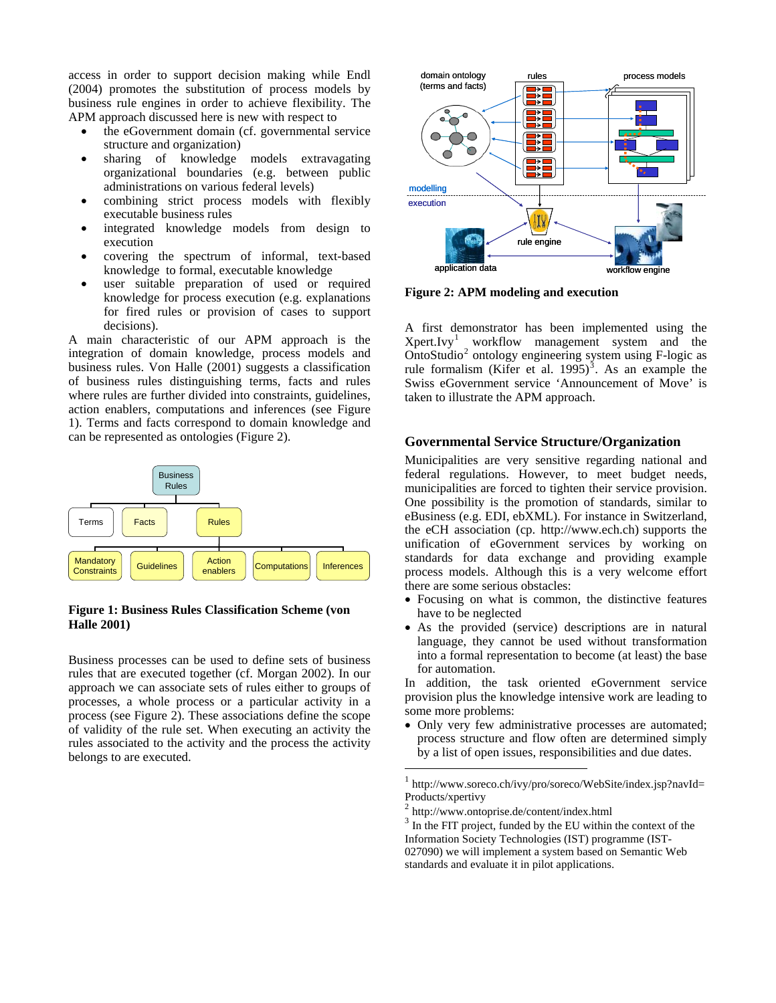access in order to support decision making while Endl (2004) promotes the substitution of process models by business rule engines in order to achieve flexibility. The APM approach discussed here is new with respect to

- the eGovernment domain (cf. governmental service structure and organization)
- sharing of knowledge models extravagating organizational boundaries (e.g. between public administrations on various federal levels)
- combining strict process models with flexibly executable business rules
- integrated knowledge models from design to execution
- covering the spectrum of informal, text-based knowledge to formal, executable knowledge
- user suitable preparation of used or required knowledge for process execution (e.g. explanations for fired rules or provision of cases to support decisions).

A main characteristic of our APM approach is the integration of domain knowledge, process models and business rules. Von Halle (2001) suggests a classification of business rules distinguishing terms, facts and rules where rules are further divided into constraints, guidelines, action enablers, computations and inferences (see Figure 1). Terms and facts correspond to domain knowledge and can be represented as ontologies (Figure 2).



#### **Figure 1: Business Rules Classification Scheme (von Halle 2001)**

<span id="page-1-2"></span><span id="page-1-1"></span><span id="page-1-0"></span>Business processes can be used to define sets of business rules that are executed together (cf. Morgan 2002). In our approach we can associate sets of rules either to groups of processes, a whole process or a particular activity in a process (see Figure 2). These associations define the scope of validity of the rule set. When executing an activity the rules associated to the activity and the process the activity belongs to are executed.



**Figure 2: APM modeling and execution** 

A first demonstrator has been implemented using the Xpert.Ivy[1](#page-1-0) workflow management system and the OntoStudio<sup>[2](#page-1-1)</sup> ontology engineering system using F-logic as rule formalism (Kifer et al.  $1995$ )<sup>[3](#page-1-2)</sup>. As an example the Swiss eGovernment service 'Announcement of Move' is taken to illustrate the APM approach.

# **Governmental Service Structure/Organization**

Municipalities are very sensitive regarding national and federal regulations. However, to meet budget needs, municipalities are forced to tighten their service provision. One possibility is the promotion of standards, similar to eBusiness (e.g. EDI, ebXML). For instance in Switzerland, the eCH association (cp. http://www.ech.ch) supports the unification of eGovernment services by working on standards for data exchange and providing example process models. Although this is a very welcome effort there are some serious obstacles:

- Focusing on what is common, the distinctive features have to be neglected
- As the provided (service) descriptions are in natural language, they cannot be used without transformation into a formal representation to become (at least) the base for automation.

In addition, the task oriented eGovernment service provision plus the knowledge intensive work are leading to some more problems:

• Only very few administrative processes are automated; process structure and flow often are determined simply by a list of open issues, responsibilities and due dates.

http://www.soreco.ch/ivy/pro/soreco/WebSite/index.jsp?navId= Products/xpertivy

 $\overline{a}$ 

 $2 \text{ http://www.ontoprise.de/content/index.html}$ <br> $3 \text{ In the FIT project, funded by the EU within the context of the$ Information Society Technologies (IST) programme (IST-027090) we will implement a system based on Semantic Web standards and evaluate it in pilot applications.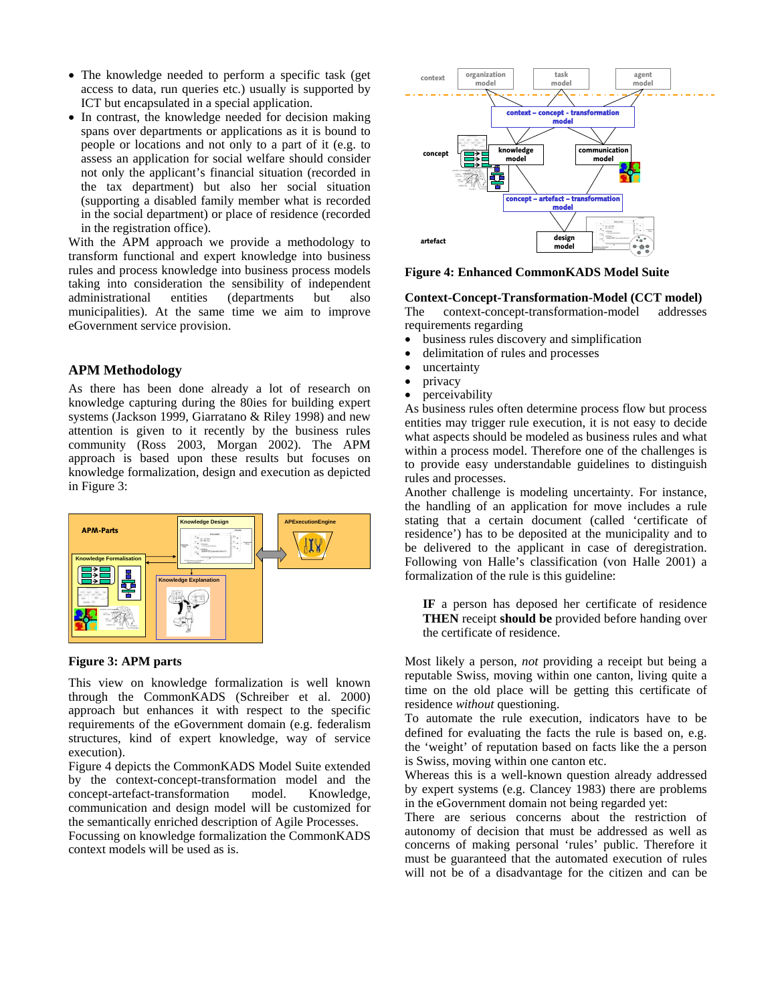- The knowledge needed to perform a specific task (get access to data, run queries etc.) usually is supported by ICT but encapsulated in a special application.
- In contrast, the knowledge needed for decision making spans over departments or applications as it is bound to people or locations and not only to a part of it (e.g. to assess an application for social welfare should consider not only the applicant's financial situation (recorded in the tax department) but also her social situation (supporting a disabled family member what is recorded in the social department) or place of residence (recorded in the registration office).

<span id="page-2-0"></span>With the APM approach we provide a methodology to transform functional and expert knowledge into business rules and process knowledge into business process models taking into consideration the sensibility of independent administrational entities (departments but also municipalities). At the same time we aim to improve eGovernment service provision.

## **APM Methodology**

As there has been done already a lot of research on knowledge capturing during the 80ies for building expert systems (Jackson 1999, Giarratano & Riley 1998) and new attention is given to it recently by the business rules community (Ross 2003, Morgan 2002). The APM approach is based upon these results but focuses on knowledge formalization, design and execution as depicted in Figure 3:



## **Figure 3: APM parts**

This view on knowledge formalization is well known through the CommonKADS (Schreiber et al. 2000) approach but enhances it with respect to the specific requirements of the eGovernment domain (e.g. federalism structures, kind of expert knowledge, way of service execution).

[Figure 4](#page-2-0) depicts the CommonKADS Model Suite extended by the context-concept-transformation model and the concept-artefact-transformation model. Knowledge, communication and design model will be customized for the semantically enriched description of Agile Processes.

Focussing on knowledge formalization the CommonKADS context models will be used as is.



#### **Figure 4: Enhanced CommonKADS Model Suite**

#### **Context-Concept-Transformation-Model (CCT model)**

The context-concept-transformation-model addresses requirements regarding

- business rules discovery and simplification
- delimitation of rules and processes
- uncertainty
- privacy
- perceivability

As business rules often determine process flow but process entities may trigger rule execution, it is not easy to decide what aspects should be modeled as business rules and what within a process model. Therefore one of the challenges is to provide easy understandable guidelines to distinguish rules and processes.

Another challenge is modeling uncertainty. For instance, the handling of an application for move includes a rule stating that a certain document (called 'certificate of residence') has to be deposited at the municipality and to be delivered to the applicant in case of deregistration. Following von Halle's classification (von Halle 2001) a formalization of the rule is this guideline:

**IF** a person has deposed her certificate of residence **THEN** receipt **should be** provided before handing over the certificate of residence.

Most likely a person, *not* providing a receipt but being a reputable Swiss, moving within one canton, living quite a time on the old place will be getting this certificate of residence *without* questioning.

To automate the rule execution, indicators have to be defined for evaluating the facts the rule is based on, e.g. the 'weight' of reputation based on facts like the a person is Swiss, moving within one canton etc.

Whereas this is a well-known question already addressed by expert systems (e.g. Clancey 1983) there are problems in the eGovernment domain not being regarded yet:

There are serious concerns about the restriction of autonomy of decision that must be addressed as well as concerns of making personal 'rules' public. Therefore it must be guaranteed that the automated execution of rules will not be of a disadvantage for the citizen and can be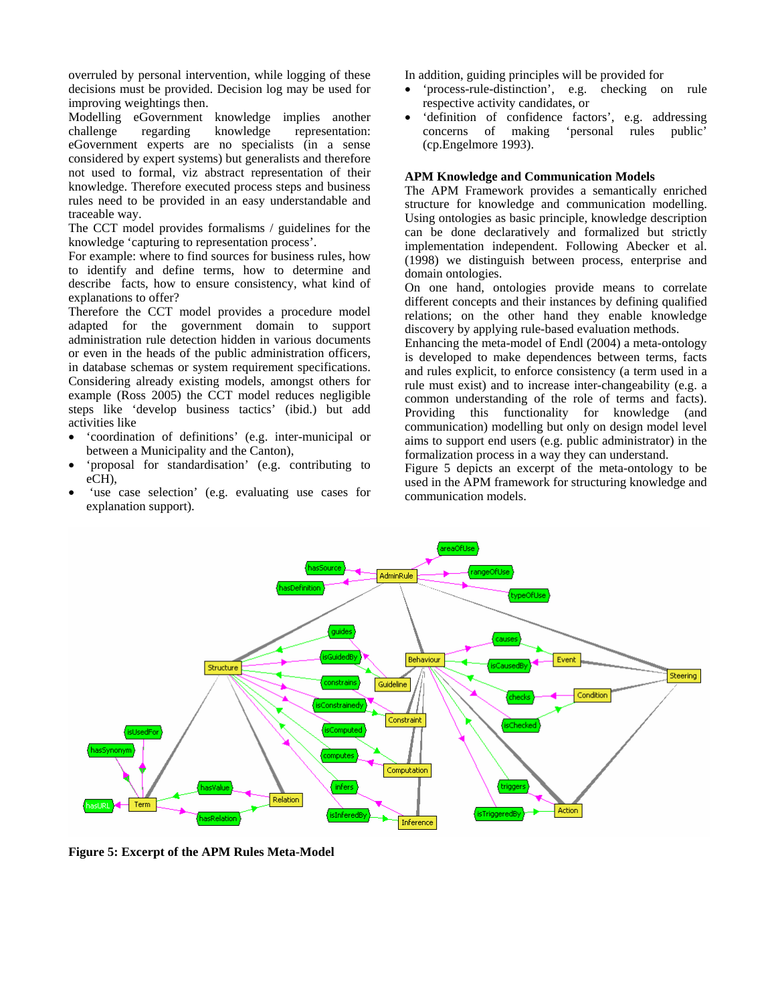overruled by personal intervention, while logging of these In addition, guiding principles will be provided for decisions must be provided. Decision log may be used for improving weightings then.

Modelling eGovernment knowledge implies another challenge regarding knowledge representation: eGovernment experts are no specialists (in a sense considered by expert systems) but generalists and therefore not used to formal, viz abstract representation of their knowledge. Therefore executed process steps and business rules need to be provided in an easy understandable and traceable way.

The CCT model provides formalisms / guidelines for the knowledge 'capturing to representation process'.

For example: where to find sources for business rules, how to identify and define terms, how to determine and describe facts, how to ensure consistency, what kind of describe facts, how to ensure consistency, what kind of On one hand, ontologies provide means to correlate explanations to offer?

Therefore the CCT model provides a procedure model adapted for the government domain to support administration rule detection hidden in various documents or even in the heads of the public administration officers, in database schemas or system requirement specifications. Considering already existing models, amongst others for example (Ross 2005) the CCT model reduces negligible steps like 'develop business tactics' (ibid.) but add activities like

- 'coordination of definitions' (e.g. inter-municipal or between a Municipality and the Canton),
- 'proposal for standardisation' (e.g. contributing to
- the case selection' (e.g. evaluating use cases for communication models. explanation support).

- 'process-rule-distinction', e.g. checking on rule respective activity candidates, or
- 'definition of confidence factors', e.g. addressing concerns of making 'personal rules public' (cp.Engelmore 1993).

#### **APM Knowledge and Communication Models**

The APM Framework provides a semantically enriched structure for knowledge and communication modelling. Using ontologies as basic principle, knowledge description can be done declaratively and formalized but strictly implementation independent. Following Abecker et al. (1998) we distinguish between process, enterprise and domain ontologies.

different concepts and their instances by defining qualified relations; on the other hand they enable knowledge discovery by applying rule-based evaluation methods.

Enhancing the meta-model of Endl (2004) a meta-ontology is developed to make dependences between terms, facts and rules explicit, to enforce consistency (a term used in a rule must exist) and to increase inter-changeability (e.g. a common understanding of the role of terms and facts). Providing this functionality for knowledge (and communication) modelling but only on design model level aims to support end users (e.g. public administrator) in the formalization process in a way they can understand.

proposal for standardisation (e.g. contributing to [Figure 5](#page-3-0) depicts an excerpt of the meta-ontology to be<br>eCH), used in the APM framework for structuring knowledge and



<span id="page-3-0"></span>**Figure 5: Excerpt of the APM Rules Meta-Model**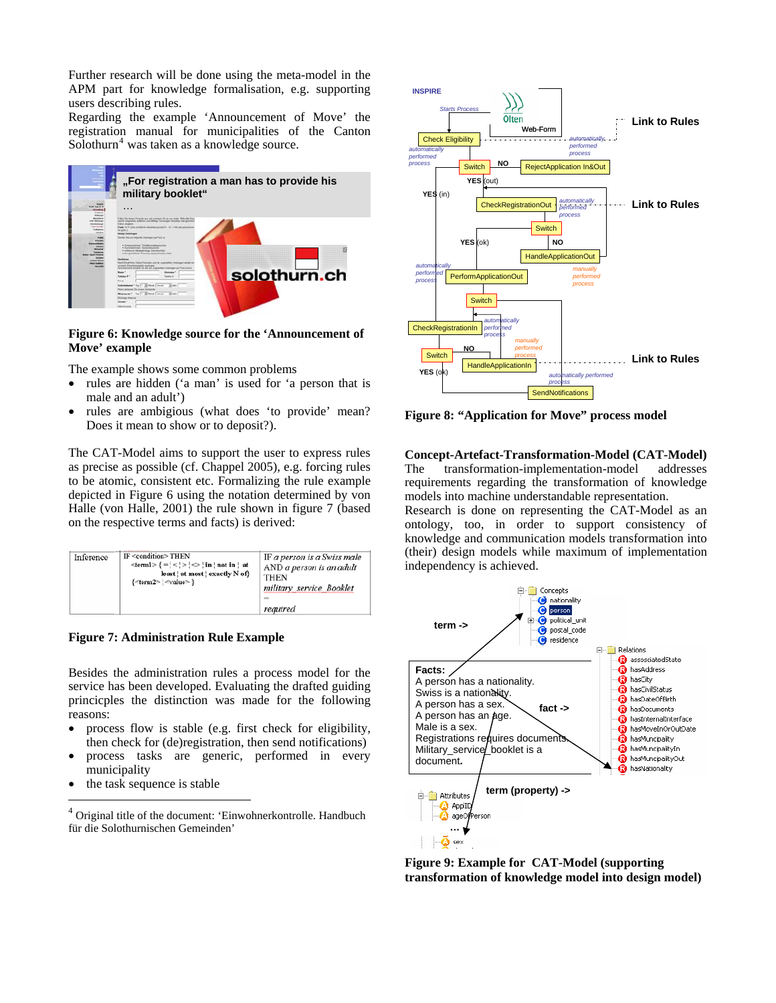Further research will be done using the meta-model in the APM part for knowledge formalisation, e.g. supporting users describing rules.

Regarding the example 'Announcement of Move' the registration manual for municipalities of the Canton Solothurn<sup>[4](#page-4-0)</sup> was taken as a knowledge source.



## <span id="page-4-1"></span>**Figure 6: Knowledge source for the 'Announcement of Move' example**

The example shows some common problems

- rules are hidden ('a man' is used for 'a person that is male and an adult')
- rules are ambigious (what does 'to provide' mean? Does it mean to show or to deposit?).

The CAT-Model aims to support the user to express rules as precise as possible (cf. Chappel 2005), e.g. forcing rules to be atomic, consistent etc. Formalizing the rule example depicted in [Figure 6](#page-4-1) using the notation determined by von Halle (von Halle, 2001) the rule shown in figure 7 (based on the respective terms and facts) is derived:

| Inference | IF <condition>THEN<br/><math>\text{~term1} &gt; \{ = \cdot \leq \cdot \geq \leq \cdot \text{~in} \mid \text{not in} \cdot \text{ at} \}</math><br/>least   at most   exactly N of}<br/>{<term2> : <value> }</value></term2></condition> | IF a person is a Swiss male<br>AND a person is an adult<br><b>THEN</b><br>military service Booklet<br>required |
|-----------|-----------------------------------------------------------------------------------------------------------------------------------------------------------------------------------------------------------------------------------------|----------------------------------------------------------------------------------------------------------------|
|-----------|-----------------------------------------------------------------------------------------------------------------------------------------------------------------------------------------------------------------------------------------|----------------------------------------------------------------------------------------------------------------|

**Figure 7: Administration Rule Example** 

Besides the administration rules a process model for the service has been developed. Evaluating the drafted guiding princicples the distinction was made for the following reasons:

- process flow is stable (e.g. first check for eligibility, • then check for (de)registration, then send notifications)
- process tasks are generic, performed in every municipality
- the task sequence is stable



**Figure 8: "Application for Move" process model** 

 $Concept-Artefact-Transformation-Model (CAT-Model)$ requirements regarding the transformation of knowledge The transformation-implementation-model addresses models into machine understandable representation.

knowledge and communication models transformation into Research is done on representing the CAT-Model as an ontology, too, in order to support consistency of (their) design models while maximum of implementation independency is achieved.



**Figure 9: Example for CAT-Model (supporting transformation of knowledge model into design model)** 

<span id="page-4-0"></span> $4$  Original title of the document: 'Einwohnerkontrolle. Handbuch für die Solothurnischen Gemeinden'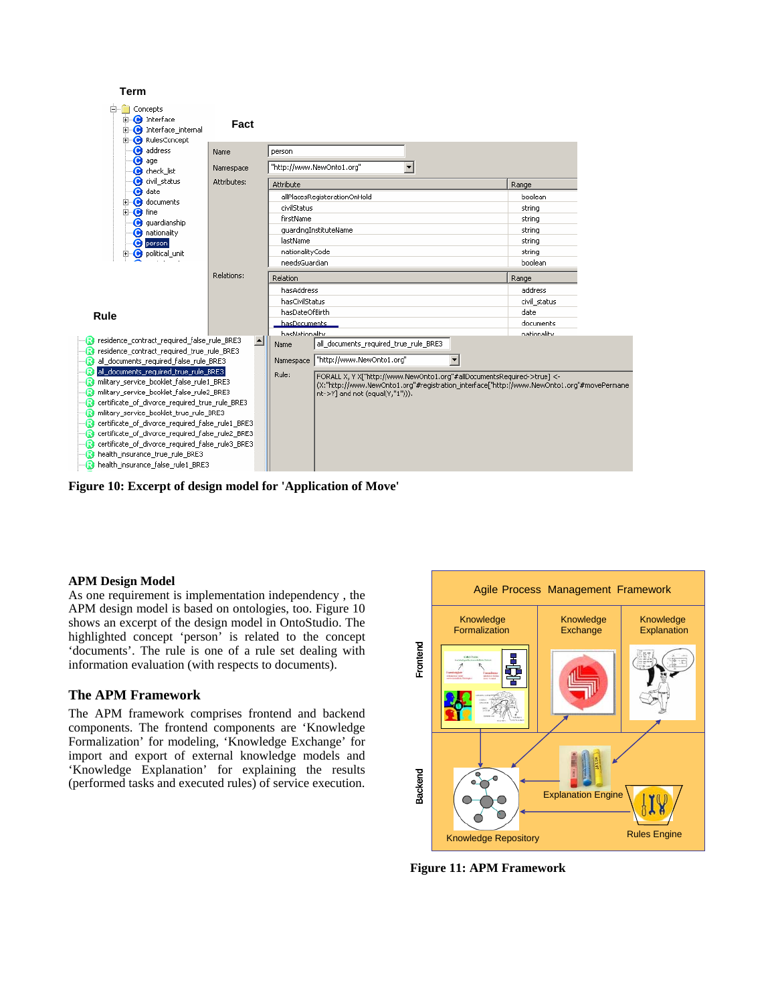

**Figure 10: Excerpt of design model for 'Application of Move'** 

## **APM Design Model**

As one requirement is implementation independency , the APM design model is based on ontologies, too. Figure 10 shows an excerpt of the design model in OntoStudio. The highlighted concept 'person' is related to the concept 'documents'. The rule is one of a rule set dealing with information evaluation (with respects to documents).

# **The APM Framework**

The APM framework comprises frontend and backend components. The frontend components are 'Knowledge Formalization' for modeling, 'Knowledge Exchange' for import and export of external knowledge models and 'Knowledge Explanation' for explaining the results (performed tasks and executed rules) of service execution.



**Figure 11: APM Framework**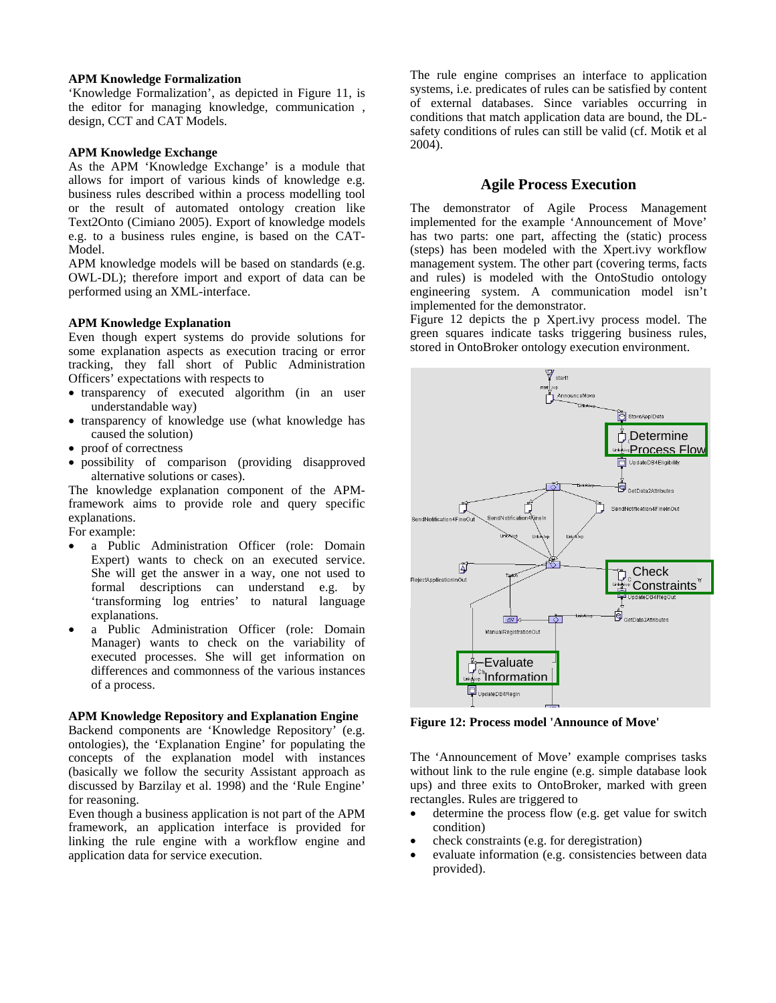#### **APM Knowledge Formalization**

'Knowledge Formalization', as depicted in Figure 11, is the editor for managing knowledge, communication , design, CCT and CAT Models.

#### **APM Knowledge Exchange**

business rules described within a process modelling tool or the result of automated ontology creation like Text2Onto (Cimiano 2005). Export of knowledge models e.g. to a business rules engine, is based on the CAT-Model. As the APM 'Knowledge Exchange' is a module that allows for import of various kinds of knowledge e.g.

APM knowledge models will be based on standards (e.g. OWL-DL); therefore import and export of data can be performed using an XML-interface.

#### **APM Knowledge Explanation**

Even though expert systems do provide solutions for some explanation aspects as execution tracing or error tracking, they fall short of Public Administration Officers' expectations with respects to

- transparency of executed algorithm (in an user understandable way)
- transparency of knowledge use (what knowledge has caused the solution)
- proof of correctness
- possibility of comparison (providing disapproved alternative solutions or cases).

The knowledge explanation component of the APMframework aims to provide role and query specific explanations.

For example:

- She will get the answer in a way, one not used to formal descriptions can understand e.g. by • a Public Administration Officer (role: Domain Expert) wants to check on an executed service. 'transforming log entries' to natural language explanations.
- a Public Administration Officer (role: Domain Manager) wants to check on the variability of executed processes. She will get information on differences and commonness of the various instances of a process.

## **APM Knowledge Repository and Explanation Engine**

ontologies), the 'Explanation Engine' for populating the concepts of the explanation model with instances Backend components are 'Knowledge Repository' (e.g. (basically we follow the security Assistant approach as discussed by Barzilay et al. 1998) and the 'Rule Engine' for reasoning.

Even though a business application is not part of the APM framework, an application interface is provided for linking the rule engine with a workflow engine and application data for service execution.

The rule engine comprises an interface to application of external databases. Since variables occurring in systems, i.e. predicates of rules can be satisfied by content conditions that match application data are bound, the DLsafety conditions of rules can still be valid (cf. Motik et al 2004).

# **Agile Process Execution**

The demonstrator of Agile Process Management impl emented for the example 'Announcement of Move' has two parts: one part, affecting the (static) process management system. The other part (covering terms, facts and rules) is modeled with the OntoStudio ontology engi neering system. A communication model isn't impl emented for the demonstrator. (steps) has been modeled with the Xpert.ivy workflow

Figure 12 depicts the p Xpert.ivy process model. The green squares indicate tasks triggering business rules, stored in OntoBroker ontology execution environment.



**Figure 12: Process model 'Announce of Move'** 

without link to the rule engine (e.g. simple database look ups) and three exits to OntoBroker, marked with green rectangles. Rules are triggered to The 'Announcement of Move' example comprises tasks

- determine the process flow (e.g. get value for switch condition)
- check constraints (e.g. for deregistration)
- evaluate information (e.g. consistencies between data provided).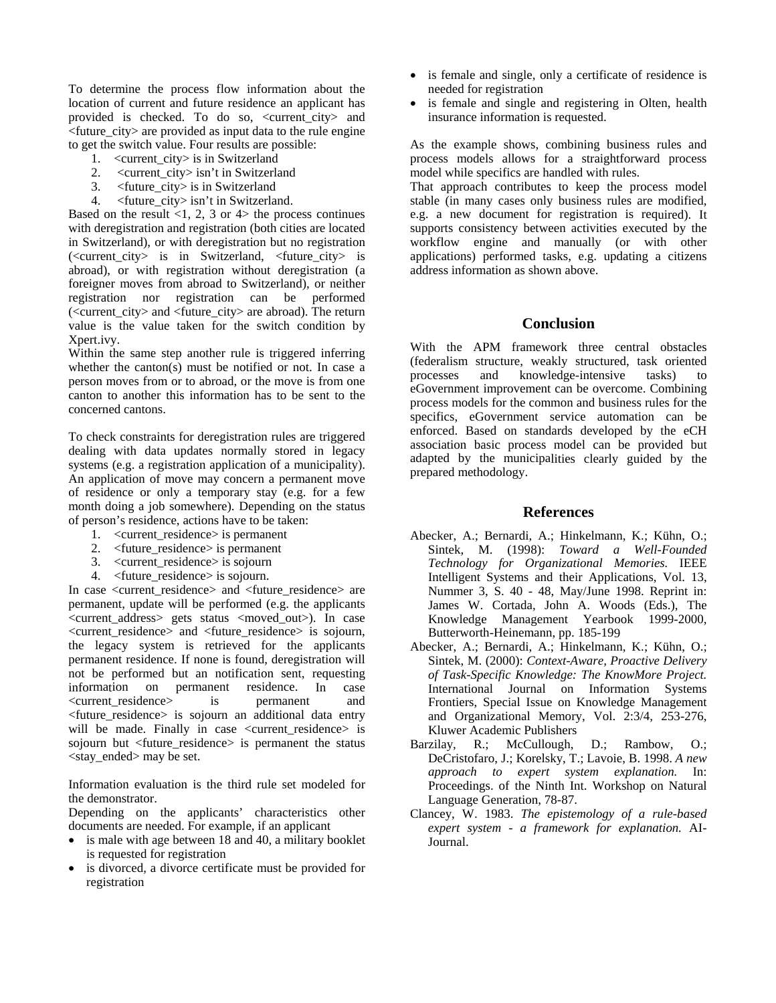To determine the process flow information about the location of current and future residence an applicant has provided is checked. To do so, <current city> and  $\langle$  future city $\rangle$  are provided as input data to the rule engine to get the switch value. Four results are possible:

- 1. <current\_city> is in Switzerland
- 2. <current\_city> isn't in Switzerland
- 3. <future\_city> is in Switzerland
- 4. 
studienter city isn't in Switzerland.

Based on the result  $\langle 1, 2, 3 \rangle$  or  $4$  the process continues with deregistration and registration (both cities are located in Switzerland), or with deregistration but no registration (<current\_city> is in Switzerland, <future\_city> is abroad), or with registration without deregistration (a foreigner moves from abroad to Switzerland), or neither registration nor registration can be performed (<current\_city> and <future\_city> are abroad). The return value is the value taken for the switch condition by Xpert.ivy.

Within the same step another rule is triggered inferring whether the canton(s) must be notified or not. In case a person moves from or to abroad, or the move is from one canton to another this information has to be sent to the concerned cantons.

To check constraints for deregistration rules are triggered dealing with data updates normally stored in legacy systems (e.g. a registration application of a municipality). An application of move may concern a permanent move of residence or only a temporary stay (e.g. for a few month doing a job somewhere). Depending on the status of person's residence, actions have to be taken:

- 1. < current residence > is permanent
- 2. <future\_residence> is permanent
- 3. <current\_residence> is sojourn
- 4. < future\_residence > is sojourn.

permanent residence. If none is found, deregistration will not be performed but an notification sent, requesting information on permanent residence. In case <current\_residence> is permanent and In case <current\_residence> and <future\_residence> are permanent, update will be performed (e.g. the applicants <current\_address> gets status <moved\_out>). In case <current\_residence> and <future\_residence> is sojourn, the legacy system is retrieved for the applicants <future\_residence> is sojourn an additional data entry will be made. Finally in case <current\_residence> is sojourn but <future residence> is permanent the status  $<$ stay ended $>$  may be set.

Information evaluation is the third rule set modeled for the demonstrator.

Depending on the applicants' characteristics other documents are needed. For example, if an applicant

- is male with age between 18 and 40, a military booklet is requested for registration
- is divorced, a divorce certificate must be provided for registration
- is female and single, only a certificate of residence is needed for registration
- is female and single and registering in Olten, health insurance information is requested.

As the example shows, combining business rules and process models allows for a straightforward process model while specifics are handled with rules.

e.g. a new document for registration is required). It supports consistency between activities executed by the workflow engine and manually (or with other applications) performed tasks, e.g. updating a citizens address i nformation as shown above. That approach contributes to keep the process model stable (in many cases only business rules are modified,

# **Conclusion**

adapted by the municipalities clearly guided by the With the APM framework three central obstacles (federalism structure, weakly structured, task oriented processes and knowledge-intensive tasks) to eGovernment improvement can be overcome. Combining process models for the common and business rules for the specifics, eGovernment service automation can be enforced. Based on standards developed by the eCH association basic process model can be provided but prepared methodology.

#### **References**

- Sintek, M. (1998): Toward a Well-Founded Intelligent Systems and their Applications, Vol. 13, James W. Cortada, John A. Woods (Eds.), The Butterworth-Heinemann, pp. 185-199 Abecker, A.; Bernardi, A.; Hinkelmann, K.; Kühn, O.; *Technology for Organizational Memories.* IEEE Nummer 3, S. 40 - 48, May/June 1998. Reprint in: Knowledge Management Yearbook 1999-2000,
- becker, A.; Bernardi, A.; Hinkelmann, K.; Kühn, O.; A International Journal on Information Systems Sintek, M. (2000): *Context-Aware, Proactive Delivery of Task-Specific Knowledge: The KnowMore Project.* Frontiers, Special Issue on Knowledge Management and Organizational Memory, Vol. 2:3/4, 253-276, Kluwer Academic Publishers
- Proceedings. of the Ninth Int. Workshop on Natural Language Generation, 78-87. Barzilay, R.; McCullough, D.; Rambow, O.; DeCristofaro, J.; Korelsky, T.; Lavoie, B. 1998. *A new approach to expert system explanation.* In:
- Clancey, W. 1983. *The epistemology of a rule-based expert system - a framework for explanation.* AI-Journal.